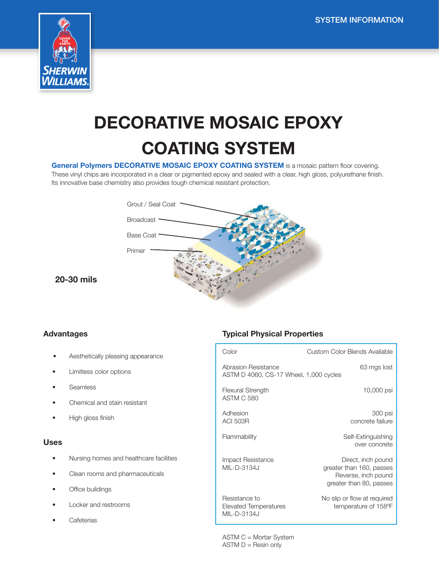

# DECORATIVE MOSAIC EPOXY COATING SYSTEM

General Polymers DECORATIVE MOSAIC EPOXY COATING SYSTEM is a mosaic pattern floor covering.

These vinyl chips are incorporated in a clear or pigmented epoxy and sealed with a clear, high gloss, polyurethane finish. Its innovative base chemistry also provides tough chemical resistant protection.



20-30 mils

#### Advantages

- Aesthetically pleasing appearance
- Limitless color options
- Seamless
- Chemical and stain resistant
- High gloss finish

#### Uses

- Nursing homes and healthcare facilities
- Clean rooms and pharmaceuticals
- Office buildings
- Locker and restrooms
- **Cafeterias**

## Typical Physical Properties

| Color                                                         | Custom Color Blends Available                                                                    |
|---------------------------------------------------------------|--------------------------------------------------------------------------------------------------|
| Abrasion Resistance<br>ASTM D 4060, CS-17 Wheel, 1,000 cycles | 63 mgs lost                                                                                      |
| Flexural Strength<br><b>ASTM C 580</b>                        | 10,000 psi                                                                                       |
| Adhesion<br><b>ACI 503R</b>                                   | 300 psi<br>concrete failure                                                                      |
| Flammability                                                  | Self-Extinguishing<br>over concrete                                                              |
| Impact Resistance<br>MIL-D-3134J                              | Direct, inch pound<br>greater than 160, passes<br>Reverse, inch pound<br>greater than 80, passes |
| Resistance to<br><b>Elevated Temperatures</b><br>MIL-D-3134J  | No slip or flow at required<br>temperature of 158°F                                              |

ASTM C = Mortar System  $ASTM D = Resin only$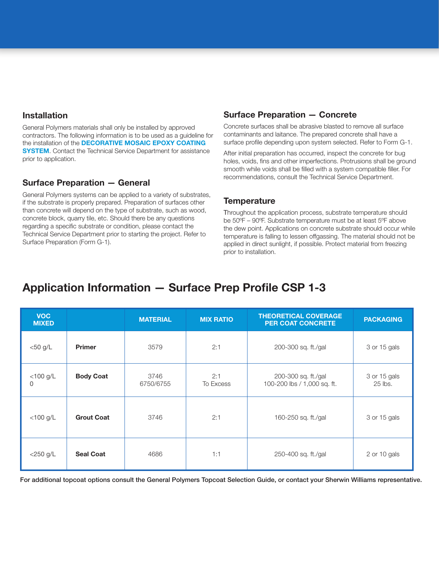## Installation

General Polymers materials shall only be installed by approved contractors. The following information is to be used as a guideline for the installation of the **DECORATIVE MOSAIC EPOXY COATING SYSTEM.** Contact the Technical Service Department for assistance prior to application.

## Surface Preparation — General

General Polymers systems can be applied to a variety of substrates, if the substrate is properly prepared. Preparation of surfaces other than concrete will depend on the type of substrate, such as wood, concrete block, quarry tile, etc. Should there be any questions regarding a specific substrate or condition, please contact the Technical Service Department prior to starting the project. Refer to Surface Preparation (Form G-1).

## Surface Preparation — Concrete

Concrete surfaces shall be abrasive blasted to remove all surface contaminants and laitance. The prepared concrete shall have a surface profile depending upon system selected. Refer to Form G-1.

After initial preparation has occurred, inspect the concrete for bug holes, voids, fins and other imperfections. Protrusions shall be ground smooth while voids shall be filled with a system compatible filler. For recommendations, consult the Technical Service Department.

## **Temperature**

Throughout the application process, substrate temperature should be 50ºF – 90ºF. Substrate temperature must be at least 5ºF above the dew point. Applications on concrete substrate should occur while temperature is falling to lessen offgassing. The material should not be applied in direct sunlight, if possible. Protect material from freezing prior to installation.

## Application Information — Surface Prep Profile CSP 1-3

| <b>VOC</b><br><b>MIXED</b> |                   | <b>MATERIAL</b>   | <b>MIX RATIO</b> | <b>THEORETICAL COVERAGE</b><br><b>PER COAT CONCRETE</b> | <b>PACKAGING</b>        |
|----------------------------|-------------------|-------------------|------------------|---------------------------------------------------------|-------------------------|
| $<$ 50 g/L                 | <b>Primer</b>     | 3579              | 2:1              | 200-300 sq. ft./gal                                     | 3 or 15 gals            |
| $<$ 100 g/L<br>0           | <b>Body Coat</b>  | 3746<br>6750/6755 | 2:1<br>To Excess | 200-300 sq. ft./gal<br>100-200 lbs / 1,000 sq. ft.      | 3 or 15 gals<br>25 lbs. |
| $<$ 100 g/L                | <b>Grout Coat</b> | 3746              | 2:1              | 160-250 sq. ft./gal                                     | 3 or 15 gals            |
| $<$ 250 g/L                | <b>Seal Coat</b>  | 4686              | 1:1              | 250-400 sq. ft./gal                                     | 2 or 10 gals            |

For additional topcoat options consult the General Polymers Topcoat Selection Guide, or contact your Sherwin Williams representative.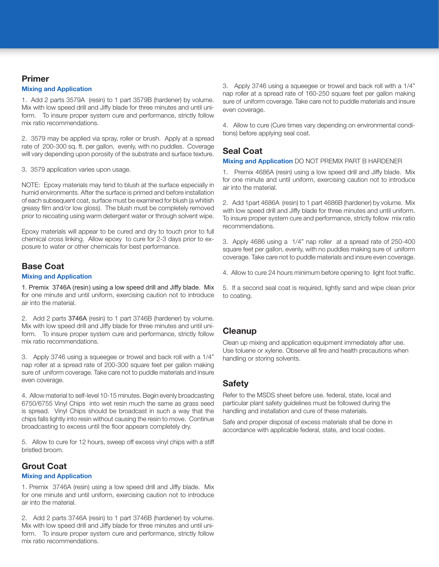#### Primer

#### Mixing and Application

1. Add 2 parts 3579A (resin) to 1 part 3579B (hardener) by volume. Mix with low speed drill and Jiffy blade for three minutes and until uniform. To insure proper system cure and performance, strictly follow mix ratio recommendations.

2. 3579 may be applied via spray, roller or brush. Apply at a spread rate of 200-300 sq. ft. per gallon, evenly, with no puddles. Coverage will vary depending upon porosity of the substrate and surface texture.

3. 3579 application varies upon usage.

NOTE: Epoxy materials may tend to blush at the surface especially in humid environments. After the surface is primed and before installation of each subsequent coat, surface must be examined for blush (a whitish greasy film and/or low gloss). The blush must be completely removed prior to recoating using warm detergent water or through solvent wipe.

Epoxy materials will appear to be cured and dry to touch prior to full chemical cross linking. Allow epoxy to cure for 2-3 days prior to exposure to water or other chemicals for best performance.

## Base Coat

#### Mixing and Application

1. Premix 3746A (resin) using a low speed drill and Jiffy blade. Mix for one minute and until uniform, exercising caution not to introduce air into the material.

2. Add 2 parts 3746A (resin) to 1 part 3746B (hardener) by volume. Mix with low speed drill and Jiffy blade for three minutes and until uniform. To insure proper system cure and performance, strictly follow mix ratio recommendations.

3. Apply 3746 using a squeegee or trowel and back roll with a 1/4" nap roller at a spread rate of 200-300 square feet per gallon making sure of uniform coverage. Take care not to puddle materials and insure even coverage.

4. Allow material to self-level 10-15 minutes. Begin evenly broadcasting 6750/6755 Vinyl Chips into wet resin much the same as grass seed is spread. Vinyl Chips should be broadcast in such a way that the chips falls lightly into resin without causing the resin to move. Continue broadcasting to excess until the floor appears completely dry.

5. Allow to cure for 12 hours, sweep off excess vinyl chips with a stiff bristled broom.

## Grout Coat

#### Mixing and Application

1. Premix 3746A (resin) using a low speed drill and Jiffy blade. Mix for one minute and until uniform, exercising caution not to introduce air into the material.

2. Add 2 parts 3746A (resin) to 1 part 3746B (hardener) by volume. Mix with low speed drill and Jiffy blade for three minutes and until uniform. To insure proper system cure and performance, strictly follow mix ratio recommendations.

3. Apply 3746 using a squeegee or trowel and back roll with a 1/4" nap roller at a spread rate of 160-250 square feet per gallon making sure of uniform coverage. Take care not to puddle materials and insure even coverage.

4. Allow to cure (Cure times vary depending on environmental conditions) before applying seal coat.

## Seal Coat

#### Mixing and Application DO NOT PREMIX PART B HARDENER

1. Premix 4686A (resin) using a low speed drill and Jiffy blade. Mix for one minute and until uniform, exercising caution not to introduce air into the material.

2. Add 1part 4686A (resin) to 1 part 4686B (hardener) by volume. Mix with low speed drill and Jiffy blade for three minutes and until uniform. To insure proper system cure and performance, strictly follow mix ratio recommendations.

3. Apply 4686 using a 1/4" nap roller at a spread rate of 250-400 square feet per gallon, evenly, with no puddles making sure of uniform coverage. Take care not to puddle materials and insure even coverage.

4. Allow to cure 24 hours minimum before opening to light foot traffic.

5. If a second seal coat is required, lightly sand and wipe clean prior to coating.

## **Cleanup**

Clean up mixing and application equipment immediately after use. Use toluene or xylene. Observe all fire and health precautions when handling or storing solvents.

## **Safety**

Refer to the MSDS sheet before use. federal, state, local and particular plant safety guidelines must be followed during the handling and installation and cure of these materials.

Safe and proper disposal of excess materials shall be done in accordance with applicable federal, state, and local codes.